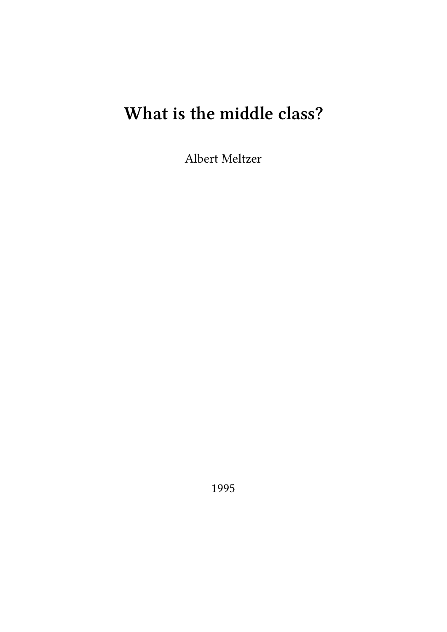## **What is the middle class?**

Albert Meltzer

1995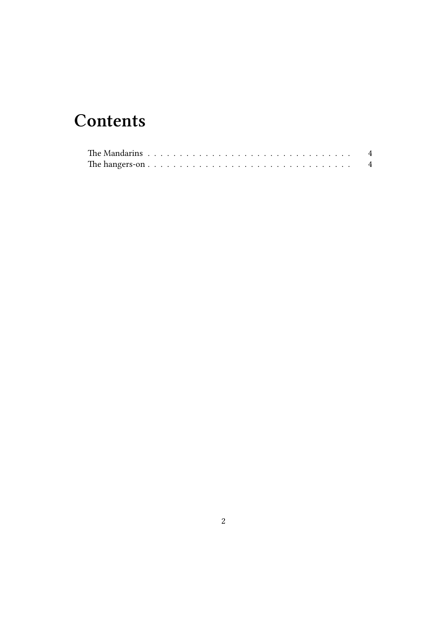## **Contents**

| The Mandarins $\ldots$ , $\ldots$ , $\ldots$ , $\ldots$ , $\ldots$ , $\ldots$ , $\ldots$ , $\ldots$ , $\ldots$ , $\ldots$ |  |  |  |  |  |  |  |  |  |  |  |  |  |  |  |  |  |
|---------------------------------------------------------------------------------------------------------------------------|--|--|--|--|--|--|--|--|--|--|--|--|--|--|--|--|--|
|                                                                                                                           |  |  |  |  |  |  |  |  |  |  |  |  |  |  |  |  |  |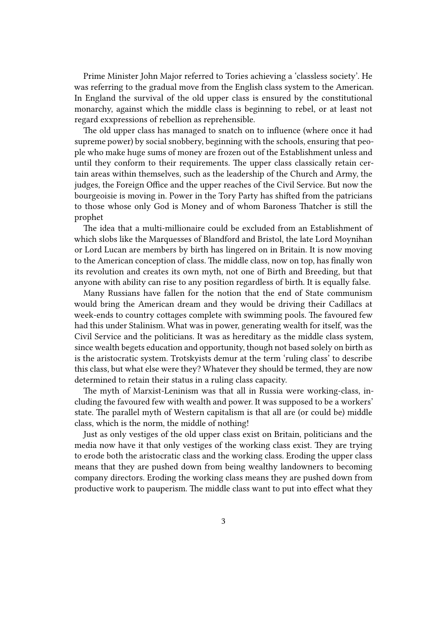Prime Minister John Major referred to Tories achieving a 'classless society'. He was referring to the gradual move from the English class system to the American. In England the survival of the old upper class is ensured by the constitutional monarchy, against which the middle class is beginning to rebel, or at least not regard exxpressions of rebellion as reprehensible.

The old upper class has managed to snatch on to influence (where once it had supreme power) by social snobbery, beginning with the schools, ensuring that people who make huge sums of money are frozen out of the Establishment unless and until they conform to their requirements. The upper class classically retain certain areas within themselves, such as the leadership of the Church and Army, the judges, the Foreign Office and the upper reaches of the Civil Service. But now the bourgeoisie is moving in. Power in the Tory Party has shifted from the patricians to those whose only God is Money and of whom Baroness Thatcher is still the prophet

The idea that a multi-millionaire could be excluded from an Establishment of which slobs like the Marquesses of Blandford and Bristol, the late Lord Moynihan or Lord Lucan are members by birth has lingered on in Britain. It is now moving to the American conception of class. The middle class, now on top, has finally won its revolution and creates its own myth, not one of Birth and Breeding, but that anyone with ability can rise to any position regardless of birth. It is equally false.

Many Russians have fallen for the notion that the end of State communism would bring the American dream and they would be driving their Cadillacs at week-ends to country cottages complete with swimming pools. The favoured few had this under Stalinism. What was in power, generating wealth for itself, was the Civil Service and the politicians. It was as hereditary as the middle class system, since wealth begets education and opportunity, though not based solely on birth as is the aristocratic system. Trotskyists demur at the term 'ruling class' to describe this class, but what else were they? Whatever they should be termed, they are now determined to retain their status in a ruling class capacity.

The myth of Marxist-Leninism was that all in Russia were working-class, including the favoured few with wealth and power. It was supposed to be a workers' state. The parallel myth of Western capitalism is that all are (or could be) middle class, which is the norm, the middle of nothing!

Just as only vestiges of the old upper class exist on Britain, politicians and the media now have it that only vestiges of the working class exist. They are trying to erode both the aristocratic class and the working class. Eroding the upper class means that they are pushed down from being wealthy landowners to becoming company directors. Eroding the working class means they are pushed down from productive work to pauperism. The middle class want to put into effect what they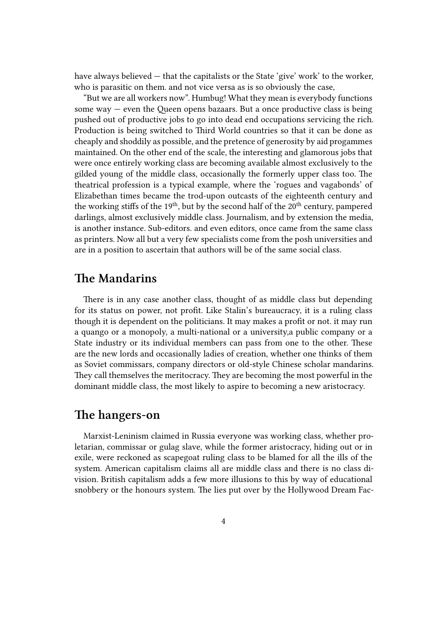have always believed — that the capitalists or the State 'give' work' to the worker, who is parasitic on them. and not vice versa as is so obviously the case,

"But we are all workers now". Humbug! What they mean is everybody functions some way  $-$  even the Queen opens bazaars. But a once productive class is being pushed out of productive jobs to go into dead end occupations servicing the rich. Production is being switched to Third World countries so that it can be done as cheaply and shoddily as possible, and the pretence of generosity by aid progammes maintained. On the other end of the scale, the interesting and glamorous jobs that were once entirely working class are becoming available almost exclusively to the gilded young of the middle class, occasionally the formerly upper class too. The theatrical profession is a typical example, where the 'rogues and vagabonds' of Elizabethan times became the trod-upon outcasts of the eighteenth century and the working stiffs of the  $19<sup>th</sup>$ , but by the second half of the  $20<sup>th</sup>$  century, pampered darlings, almost exclusively middle class. Journalism, and by extension the media, is another instance. Sub-editors. and even editors, once came from the same class as printers. Now all but a very few specialists come from the posh universities and are in a position to ascertain that authors will be of the same social class.

## **The Mandarins**

There is in any case another class, thought of as middle class but depending for its status on power, not profit. Like Stalin's bureaucracy, it is a ruling class though it is dependent on the politicians. It may makes a profit or not. it may run a quango or a monopoly, a multi-national or a university,a public company or a State industry or its individual members can pass from one to the other. These are the new lords and occasionally ladies of creation, whether one thinks of them as Soviet commissars, company directors or old-style Chinese scholar mandarins. They call themselves the meritocracy. They are becoming the most powerful in the dominant middle class, the most likely to aspire to becoming a new aristocracy.

## **The hangers-on**

Marxist-Leninism claimed in Russia everyone was working class, whether proletarian, commissar or gulag slave, while the former aristocracy, hiding out or in exile, were reckoned as scapegoat ruling class to be blamed for all the ills of the system. American capitalism claims all are middle class and there is no class division. British capitalism adds a few more illusions to this by way of educational snobbery or the honours system. The lies put over by the Hollywood Dream Fac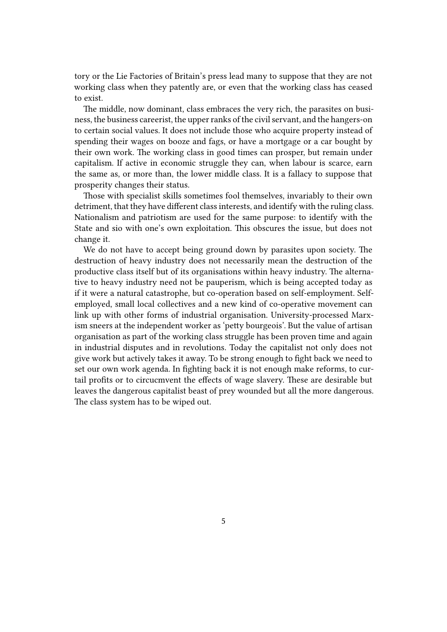tory or the Lie Factories of Britain's press lead many to suppose that they are not working class when they patently are, or even that the working class has ceased to exist.

The middle, now dominant, class embraces the very rich, the parasites on business, the business careerist, the upper ranks of the civil servant, and the hangers-on to certain social values. It does not include those who acquire property instead of spending their wages on booze and fags, or have a mortgage or a car bought by their own work. The working class in good times can prosper, but remain under capitalism. If active in economic struggle they can, when labour is scarce, earn the same as, or more than, the lower middle class. It is a fallacy to suppose that prosperity changes their status.

Those with specialist skills sometimes fool themselves, invariably to their own detriment, that they have different class interests, and identify with the ruling class. Nationalism and patriotism are used for the same purpose: to identify with the State and sio with one's own exploitation. This obscures the issue, but does not change it.

We do not have to accept being ground down by parasites upon society. The destruction of heavy industry does not necessarily mean the destruction of the productive class itself but of its organisations within heavy industry. The alternative to heavy industry need not be pauperism, which is being accepted today as if it were a natural catastrophe, but co-operation based on self-employment. Selfemployed, small local collectives and a new kind of co-operative movement can link up with other forms of industrial organisation. University-processed Marxism sneers at the independent worker as 'petty bourgeois'. But the value of artisan organisation as part of the working class struggle has been proven time and again in industrial disputes and in revolutions. Today the capitalist not only does not give work but actively takes it away. To be strong enough to fight back we need to set our own work agenda. In fighting back it is not enough make reforms, to curtail profits or to circucmvent the effects of wage slavery. These are desirable but leaves the dangerous capitalist beast of prey wounded but all the more dangerous. The class system has to be wiped out.